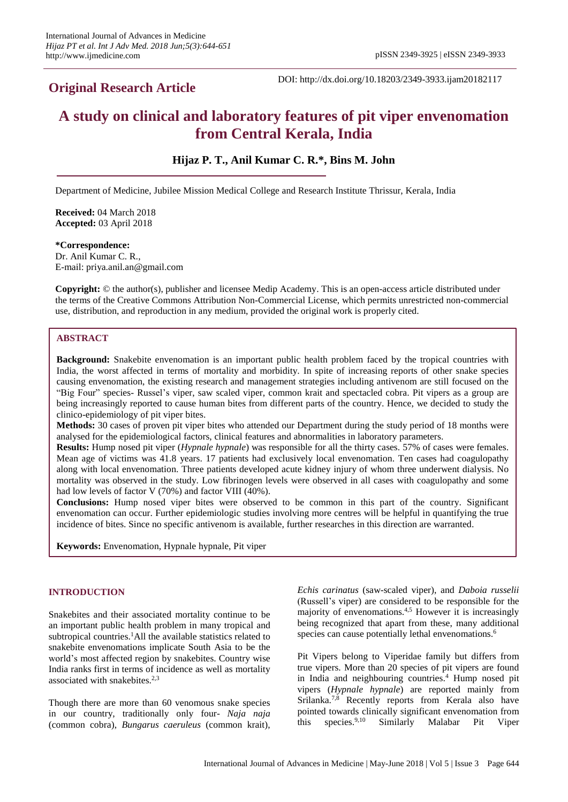# **Original Research Article**

DOI: http://dx.doi.org/10.18203/2349-3933.ijam20182117

# **A study on clinical and laboratory features of pit viper envenomation from Central Kerala, India**

# **Hijaz P. T., Anil Kumar C. R.\*, Bins M. John**

Department of Medicine, Jubilee Mission Medical College and Research Institute Thrissur, Kerala, India

**Received:** 04 March 2018 **Accepted:** 03 April 2018

**\*Correspondence:** Dr. Anil Kumar C. R.,

E-mail: priya.anil.an@gmail.com

**Copyright:** © the author(s), publisher and licensee Medip Academy. This is an open-access article distributed under the terms of the Creative Commons Attribution Non-Commercial License, which permits unrestricted non-commercial use, distribution, and reproduction in any medium, provided the original work is properly cited.

# **ABSTRACT**

**Background:** Snakebite envenomation is an important public health problem faced by the tropical countries with India, the worst affected in terms of mortality and morbidity. In spite of increasing reports of other snake species causing envenomation, the existing research and management strategies including antivenom are still focused on the "Big Four" species- Russel's viper, saw scaled viper, common krait and spectacled cobra. Pit vipers as a group are being increasingly reported to cause human bites from different parts of the country. Hence, we decided to study the clinico-epidemiology of pit viper bites.

**Methods:** 30 cases of proven pit viper bites who attended our Department during the study period of 18 months were analysed for the epidemiological factors, clinical features and abnormalities in laboratory parameters.

**Results:** Hump nosed pit viper (*Hypnale hypnale*) was responsible for all the thirty cases. 57% of cases were females. Mean age of victims was 41.8 years. 17 patients had exclusively local envenomation. Ten cases had coagulopathy along with local envenomation. Three patients developed acute kidney injury of whom three underwent dialysis. No mortality was observed in the study. Low fibrinogen levels were observed in all cases with coagulopathy and some had low levels of factor V (70%) and factor VIII (40%).

**Conclusions:** Hump nosed viper bites were observed to be common in this part of the country. Significant envenomation can occur. Further epidemiologic studies involving more centres will be helpful in quantifying the true incidence of bites. Since no specific antivenom is available, further researches in this direction are warranted.

**Keywords:** Envenomation, Hypnale hypnale, Pit viper

#### **INTRODUCTION**

Snakebites and their associated mortality continue to be an important public health problem in many tropical and subtropical countries.<sup>1</sup>All the available statistics related to snakebite envenomations implicate South Asia to be the world's most affected region by snakebites. Country wise India ranks first in terms of incidence as well as mortality associated with snakebites.<sup>2,3</sup>

Though there are more than 60 venomous snake species in our country, traditionally only four- *Naja naja* (common cobra), *Bungarus caeruleus* (common krait),

*Echis carinatus* (saw-scaled viper), and *Daboia russelii* (Russell's viper) are considered to be responsible for the majority of envenomations.4,5 However it is increasingly being recognized that apart from these, many additional species can cause potentially lethal envenomations.<sup>6</sup>

Pit Vipers belong to Viperidae family but differs from true vipers. More than 20 species of pit vipers are found in India and neighbouring countries.<sup>4</sup> Hump nosed pit vipers (*Hypnale hypnale*) are reported mainly from Srilanka.<sup>7,8</sup> Recently reports from Kerala also have pointed towards clinically significant envenomation from this species.9,10 Similarly Malabar Pit Viper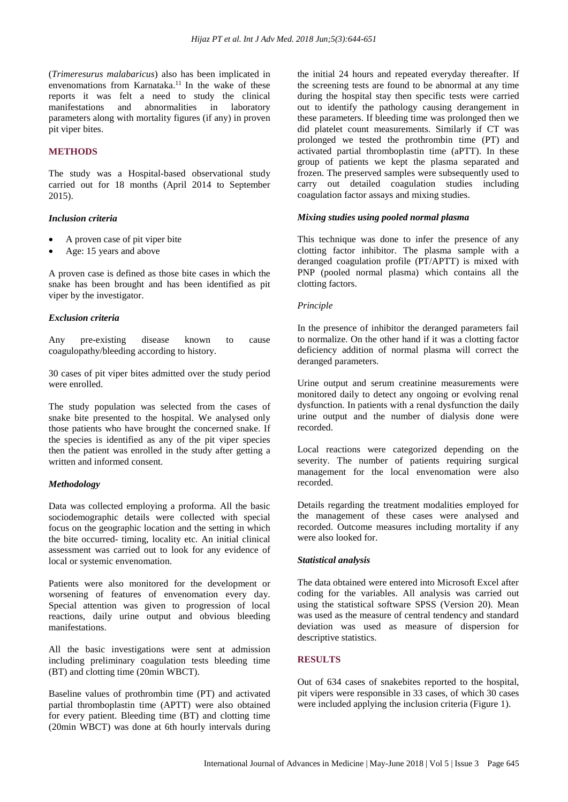(*Trimeresurus malabaricus*) also has been implicated in envenomations from Karnataka.<sup>11</sup> In the wake of these reports it was felt a need to study the clinical manifestations and abnormalities in laboratory parameters along with mortality figures (if any) in proven pit viper bites.

#### **METHODS**

The study was a Hospital-based observational study carried out for 18 months (April 2014 to September 2015).

#### *Inclusion criteria*

- A proven case of pit viper bite
- Age: 15 years and above

A proven case is defined as those bite cases in which the snake has been brought and has been identified as pit viper by the investigator.

#### *Exclusion criteria*

Any pre-existing disease known to cause coagulopathy/bleeding according to history.

30 cases of pit viper bites admitted over the study period were enrolled.

The study population was selected from the cases of snake bite presented to the hospital. We analysed only those patients who have brought the concerned snake. If the species is identified as any of the pit viper species then the patient was enrolled in the study after getting a written and informed consent.

#### *Methodology*

Data was collected employing a proforma. All the basic sociodemographic details were collected with special focus on the geographic location and the setting in which the bite occurred- timing, locality etc. An initial clinical assessment was carried out to look for any evidence of local or systemic envenomation.

Patients were also monitored for the development or worsening of features of envenomation every day. Special attention was given to progression of local reactions, daily urine output and obvious bleeding manifestations.

All the basic investigations were sent at admission including preliminary coagulation tests bleeding time (BT) and clotting time (20min WBCT).

Baseline values of prothrombin time (PT) and activated partial thromboplastin time (APTT) were also obtained for every patient. Bleeding time (BT) and clotting time (20min WBCT) was done at 6th hourly intervals during the initial 24 hours and repeated everyday thereafter. If the screening tests are found to be abnormal at any time during the hospital stay then specific tests were carried out to identify the pathology causing derangement in these parameters. If bleeding time was prolonged then we did platelet count measurements. Similarly if CT was prolonged we tested the prothrombin time (PT) and activated partial thromboplastin time (aPTT). In these group of patients we kept the plasma separated and frozen. The preserved samples were subsequently used to carry out detailed coagulation studies including coagulation factor assays and mixing studies.

#### *Mixing studies using pooled normal plasma*

This technique was done to infer the presence of any clotting factor inhibitor. The plasma sample with a deranged coagulation profile (PT/APTT) is mixed with PNP (pooled normal plasma) which contains all the clotting factors.

#### *Principle*

In the presence of inhibitor the deranged parameters fail to normalize. On the other hand if it was a clotting factor deficiency addition of normal plasma will correct the deranged parameters.

Urine output and serum creatinine measurements were monitored daily to detect any ongoing or evolving renal dysfunction. In patients with a renal dysfunction the daily urine output and the number of dialysis done were recorded.

Local reactions were categorized depending on the severity. The number of patients requiring surgical management for the local envenomation were also recorded.

Details regarding the treatment modalities employed for the management of these cases were analysed and recorded. Outcome measures including mortality if any were also looked for.

#### *Statistical analysis*

The data obtained were entered into Microsoft Excel after coding for the variables. All analysis was carried out using the statistical software SPSS (Version 20). Mean was used as the measure of central tendency and standard deviation was used as measure of dispersion for descriptive statistics.

#### **RESULTS**

Out of 634 cases of snakebites reported to the hospital, pit vipers were responsible in 33 cases, of which 30 cases were included applying the inclusion criteria (Figure 1).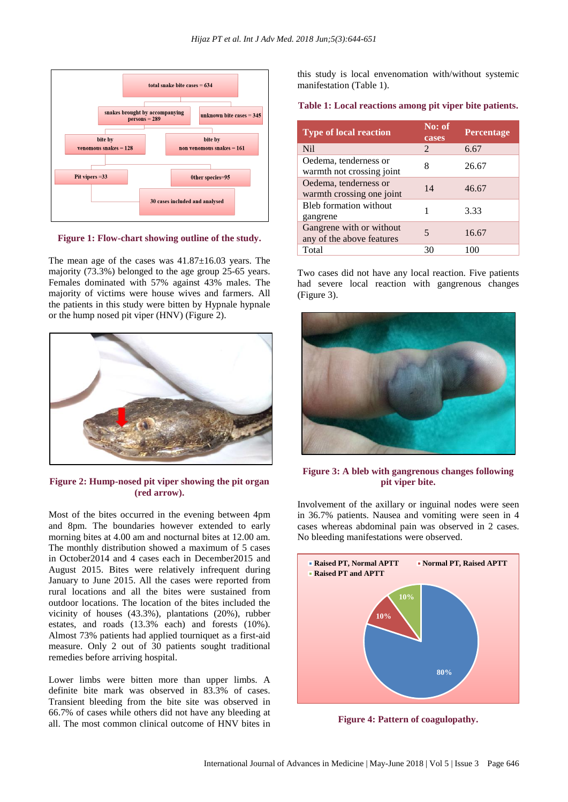

**Figure 1: Flow-chart showing outline of the study.**

The mean age of the cases was 41.87±16.03 years. The majority (73.3%) belonged to the age group 25-65 years. Females dominated with 57% against 43% males. The majority of victims were house wives and farmers. All the patients in this study were bitten by Hypnale hypnale or the hump nosed pit viper (HNV) (Figure 2).



**Figure 2: Hump-nosed pit viper showing the pit organ (red arrow).**

Most of the bites occurred in the evening between 4pm and 8pm. The boundaries however extended to early morning bites at 4.00 am and nocturnal bites at 12.00 am. The monthly distribution showed a maximum of 5 cases in October2014 and 4 cases each in December2015 and August 2015. Bites were relatively infrequent during January to June 2015. All the cases were reported from rural locations and all the bites were sustained from outdoor locations. The location of the bites included the vicinity of houses (43.3%), plantations (20%), rubber estates, and roads (13.3% each) and forests (10%). Almost 73% patients had applied tourniquet as a first-aid measure. Only 2 out of 30 patients sought traditional remedies before arriving hospital.

Lower limbs were bitten more than upper limbs. A definite bite mark was observed in 83.3% of cases. Transient bleeding from the bite site was observed in 66.7% of cases while others did not have any bleeding at all. The most common clinical outcome of HNV bites in this study is local envenomation with/without systemic manifestation (Table 1).

#### **Table 1: Local reactions among pit viper bite patients.**

| <b>Type of local reaction</b>                         | No: of<br>cases | Percentage |
|-------------------------------------------------------|-----------------|------------|
| N <sub>il</sub>                                       | 2               | 6.67       |
| Oedema, tenderness or<br>warmth not crossing joint    | 8               | 26.67      |
| Oedema, tenderness or<br>warmth crossing one joint    | 14              | 46.67      |
| <b>Bleb</b> formation without<br>gangrene             |                 | 3.33       |
| Gangrene with or without<br>any of the above features | 5               | 16.67      |
| Total                                                 | 30              | 100        |

Two cases did not have any local reaction. Five patients had severe local reaction with gangrenous changes (Figure 3).



**Figure 3: A bleb with gangrenous changes following pit viper bite.**

Involvement of the axillary or inguinal nodes were seen in 36.7% patients. Nausea and vomiting were seen in 4 cases whereas abdominal pain was observed in 2 cases. No bleeding manifestations were observed.



**Figure 4: Pattern of coagulopathy.**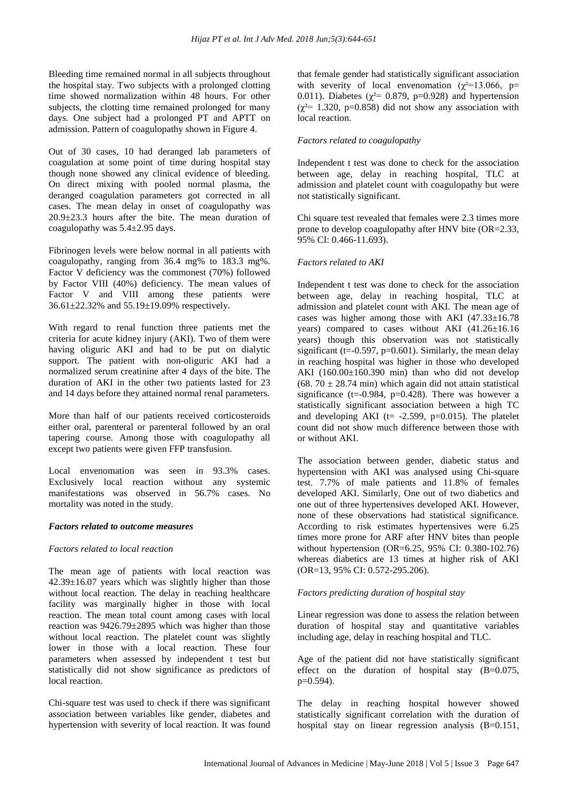Bleeding time remained normal in all subjects throughout the hospital stay. Two subjects with a prolonged clotting time showed normalization within 48 hours. For other subjects, the clotting time remained prolonged for many days. One subject had a prolonged PT and APTT on admission. Pattern of coagulopathy shown in Figure 4.

Out of 30 cases, 10 had deranged lab parameters of coagulation at some point of time during hospital stay though none showed any clinical evidence of bleeding. On direct mixing with pooled normal plasma, the deranged coagulation parameters got corrected in all cases. The mean delay in onset of coagulopathy was 20.9±23.3 hours after the bite. The mean duration of coagulopathy was 5.4±2.95 days.

Fibrinogen levels were below normal in all patients with coagulopathy, ranging from 36.4 mg% to 183.3 mg%. Factor V deficiency was the commonest (70%) followed by Factor VIII (40%) deficiency. The mean values of Factor V and VIII among these patients were 36.61±22.32% and 55.19±19.09% respectively.

With regard to renal function three patients met the criteria for acute kidney injury (AKI). Two of them were having oliguric AKI and had to be put on dialytic support. The patient with non-oliguric AKI had a normalized serum creatinine after 4 days of the bite. The duration of AKI in the other two patients lasted for 23 and 14 days before they attained normal renal parameters.

More than half of our patients received corticosteroids either oral, parenteral or parenteral followed by an oral tapering course. Among those with coagulopathy all except two patients were given FFP transfusion.

Local envenomation was seen in 93.3% cases. Exclusively local reaction without any systemic manifestations was observed in 56.7% cases. No mortality was noted in the study.

#### *Factors related to outcome measures*

#### *Factors related to local reaction*

The mean age of patients with local reaction was  $42.39\pm16.07$  years which was slightly higher than those without local reaction. The delay in reaching healthcare facility was marginally higher in those with local reaction. The mean total count among cases with local reaction was 9426.79±2895 which was higher than those without local reaction. The platelet count was slightly lower in those with a local reaction. These four parameters when assessed by independent t test but statistically did not show significance as predictors of local reaction.

Chi-square test was used to check if there was significant association between variables like gender, diabetes and hypertension with severity of local reaction. It was found that female gender had statistically significant association with severity of local envenomation ( $\chi^2$ =13.066, p= 0.011). Diabetes ( $\chi^2$ = 0.879, p=0.928) and hypertension  $(\chi^2$ = 1.320, p=0.858) did not show any association with local reaction.

#### *Factors related to coagulopathy*

Independent t test was done to check for the association between age, delay in reaching hospital, TLC at admission and platelet count with coagulopathy but were not statistically significant.

Chi square test revealed that females were 2.3 times more prone to develop coagulopathy after HNV bite (OR=2.33, 95% CI: 0.466-11.693).

#### *Factors related to AKI*

Independent t test was done to check for the association between age, delay in reaching hospital, TLC at admission and platelet count with AKI. The mean age of cases was higher among those with AKI  $(47.33\pm16.78)$ years) compared to cases without AKI (41.26±16.16 years) though this observation was not statistically significant (t= $-0.597$ , p= $0.601$ ). Similarly, the mean delay in reaching hospital was higher in those who developed AKI  $(160.00 \pm 160.390 \text{ min})$  than who did not develop (68. 70  $\pm$  28.74 min) which again did not attain statistical significance (t=-0.984,  $p=0.428$ ). There was however a statistically significant association between a high TC and developing AKI ( $t=$  -2.599, p=0.015). The platelet count did not show much difference between those with or without AKI.

The association between gender, diabetic status and hypertension with AKI was analysed using Chi-square test. 7.7% of male patients and 11.8% of females developed AKI. Similarly, One out of two diabetics and one out of three hypertensives developed AKI. However, none of these observations had statistical significance. According to risk estimates hypertensives were 6.25 times more prone for ARF after HNV bites than people without hypertension (OR=6.25, 95% CI: 0.380-102.76) whereas diabetics are 13 times at higher risk of AKI (OR=13, 95% CI: 0.572-295.206).

#### *Factors predicting duration of hospital stay*

Linear regression was done to assess the relation between duration of hospital stay and quantitative variables including age, delay in reaching hospital and TLC.

Age of the patient did not have statistically significant effect on the duration of hospital stay  $(B=0.075,$ p=0.594).

The delay in reaching hospital however showed statistically significant correlation with the duration of hospital stay on linear regression analysis (B=0.151,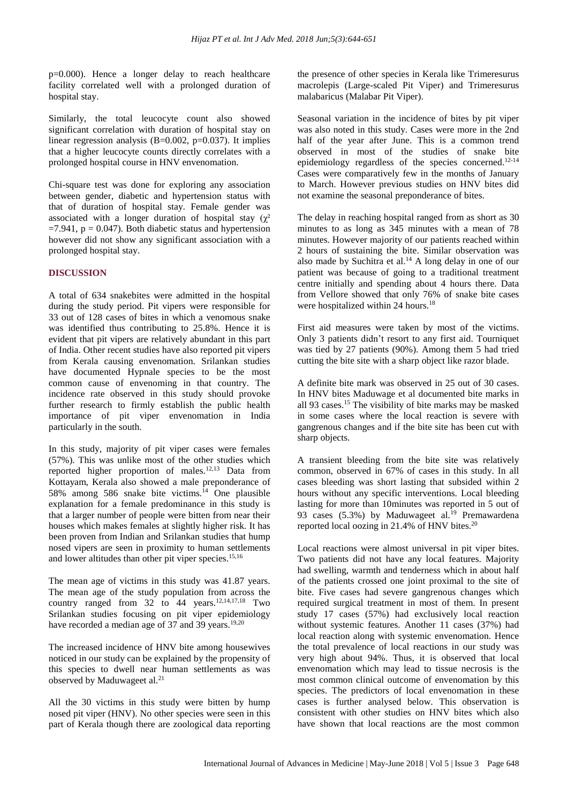p=0.000). Hence a longer delay to reach healthcare facility correlated well with a prolonged duration of hospital stay.

Similarly, the total leucocyte count also showed significant correlation with duration of hospital stay on linear regression analysis  $(B=0.002, p=0.037)$ . It implies that a higher leucocyte counts directly correlates with a prolonged hospital course in HNV envenomation.

Chi-square test was done for exploring any association between gender, diabetic and hypertension status with that of duration of hospital stay. Female gender was associated with a longer duration of hospital stay  $(\chi^2)$  $=7.941$ ,  $p = 0.047$ ). Both diabetic status and hypertension however did not show any significant association with a prolonged hospital stay.

#### **DISCUSSION**

A total of 634 snakebites were admitted in the hospital during the study period. Pit vipers were responsible for 33 out of 128 cases of bites in which a venomous snake was identified thus contributing to 25.8%. Hence it is evident that pit vipers are relatively abundant in this part of India. Other recent studies have also reported pit vipers from Kerala causing envenomation. Srilankan studies have documented Hypnale species to be the most common cause of envenoming in that country. The incidence rate observed in this study should provoke further research to firmly establish the public health importance of pit viper envenomation in India particularly in the south.

In this study, majority of pit viper cases were females (57%). This was unlike most of the other studies which reported higher proportion of males.12,13 Data from Kottayam, Kerala also showed a male preponderance of 58% among 586 snake bite victims.<sup>14</sup> One plausible explanation for a female predominance in this study is that a larger number of people were bitten from near their houses which makes females at slightly higher risk. It has been proven from Indian and Srilankan studies that hump nosed vipers are seen in proximity to human settlements and lower altitudes than other pit viper species. $15,16$ 

The mean age of victims in this study was 41.87 years. The mean age of the study population from across the country ranged from  $32$  to  $44$  years.<sup>12,14,17,18</sup> Two Srilankan studies focusing on pit viper epidemiology have recorded a median age of 37 and 39 years.<sup>19,20</sup>

The increased incidence of HNV bite among housewives noticed in our study can be explained by the propensity of this species to dwell near human settlements as was observed by Maduwageet al.<sup>21</sup>

All the 30 victims in this study were bitten by hump nosed pit viper (HNV). No other species were seen in this part of Kerala though there are zoological data reporting the presence of other species in Kerala like Trimeresurus macrolepis (Large-scaled Pit Viper) and Trimeresurus malabaricus (Malabar Pit Viper).

Seasonal variation in the incidence of bites by pit viper was also noted in this study. Cases were more in the 2nd half of the year after June. This is a common trend observed in most of the studies of snake bite epidemiology regardless of the species concerned.12-14 Cases were comparatively few in the months of January to March. However previous studies on HNV bites did not examine the seasonal preponderance of bites.

The delay in reaching hospital ranged from as short as 30 minutes to as long as 345 minutes with a mean of 78 minutes. However majority of our patients reached within 2 hours of sustaining the bite. Similar observation was also made by Suchitra et al.<sup>14</sup> A long delay in one of our patient was because of going to a traditional treatment centre initially and spending about 4 hours there. Data from Vellore showed that only 76% of snake bite cases were hospitalized within 24 hours.<sup>18</sup>

First aid measures were taken by most of the victims. Only 3 patients didn't resort to any first aid. Tourniquet was tied by 27 patients (90%). Among them 5 had tried cutting the bite site with a sharp object like razor blade.

A definite bite mark was observed in 25 out of 30 cases. In HNV bites Maduwage et al documented bite marks in all 93 cases.<sup>15</sup> The visibility of bite marks may be masked in some cases where the local reaction is severe with gangrenous changes and if the bite site has been cut with sharp objects.

A transient bleeding from the bite site was relatively common, observed in 67% of cases in this study. In all cases bleeding was short lasting that subsided within 2 hours without any specific interventions. Local bleeding lasting for more than 10minutes was reported in 5 out of 93 cases (5.3%) by Maduwageet al.<sup>19</sup> Premawardena reported local oozing in 21.4% of HNV bites.<sup>20</sup>

Local reactions were almost universal in pit viper bites. Two patients did not have any local features. Majority had swelling, warmth and tenderness which in about half of the patients crossed one joint proximal to the site of bite. Five cases had severe gangrenous changes which required surgical treatment in most of them. In present study 17 cases (57%) had exclusively local reaction without systemic features. Another 11 cases (37%) had local reaction along with systemic envenomation. Hence the total prevalence of local reactions in our study was very high about 94%. Thus, it is observed that local envenomation which may lead to tissue necrosis is the most common clinical outcome of envenomation by this species. The predictors of local envenomation in these cases is further analysed below. This observation is consistent with other studies on HNV bites which also have shown that local reactions are the most common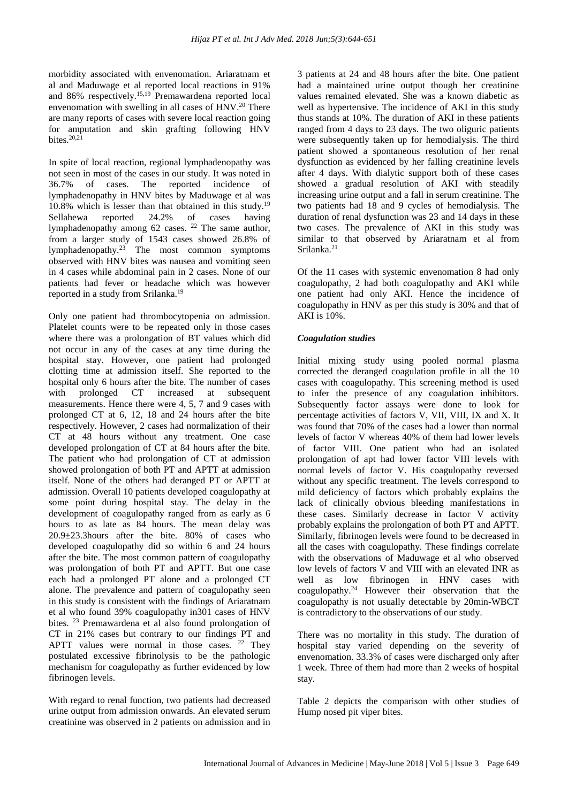morbidity associated with envenomation. Ariaratnam et al and Maduwage et al reported local reactions in 91% and 86% respectively.15,19 Premawardena reported local envenomation with swelling in all cases of  $HNV<sup>20</sup>$  There are many reports of cases with severe local reaction going for amputation and skin grafting following HNV bites. $20,21$ 

In spite of local reaction, regional lymphadenopathy was not seen in most of the cases in our study. It was noted in 36.7% of cases. The reported incidence of lymphadenopathy in HNV bites by Maduwage et al was  $10.8\%$  which is lesser than that obtained in this study.<sup>19</sup> Sellahewa reported 24.2% of cases having lymphadenopathy among 62 cases. <sup>22</sup> The same author, from a larger study of 1543 cases showed 26.8% of lymphadenopathy.<sup>23</sup> The most common symptoms observed with HNV bites was nausea and vomiting seen in 4 cases while abdominal pain in 2 cases. None of our patients had fever or headache which was however reported in a study from Srilanka.<sup>19</sup>

Only one patient had thrombocytopenia on admission. Platelet counts were to be repeated only in those cases where there was a prolongation of BT values which did not occur in any of the cases at any time during the hospital stay. However, one patient had prolonged clotting time at admission itself. She reported to the hospital only 6 hours after the bite. The number of cases with prolonged CT increased at subsequent measurements. Hence there were 4, 5, 7 and 9 cases with prolonged CT at 6, 12, 18 and 24 hours after the bite respectively. However, 2 cases had normalization of their CT at 48 hours without any treatment. One case developed prolongation of CT at 84 hours after the bite. The patient who had prolongation of CT at admission showed prolongation of both PT and APTT at admission itself. None of the others had deranged PT or APTT at admission. Overall 10 patients developed coagulopathy at some point during hospital stay. The delay in the development of coagulopathy ranged from as early as 6 hours to as late as 84 hours. The mean delay was 20.9±23.3hours after the bite. 80% of cases who developed coagulopathy did so within 6 and 24 hours after the bite. The most common pattern of coagulopathy was prolongation of both PT and APTT. But one case each had a prolonged PT alone and a prolonged CT alone. The prevalence and pattern of coagulopathy seen in this study is consistent with the findings of Ariaratnam et al who found 39% coagulopathy in301 cases of HNV bites. <sup>23</sup> Premawardena et al also found prolongation of CT in 21% cases but contrary to our findings PT and APTT values were normal in those cases. <sup>22</sup> They postulated excessive fibrinolysis to be the pathologic mechanism for coagulopathy as further evidenced by low fibrinogen levels.

With regard to renal function, two patients had decreased urine output from admission onwards. An elevated serum creatinine was observed in 2 patients on admission and in 3 patients at 24 and 48 hours after the bite. One patient had a maintained urine output though her creatinine values remained elevated. She was a known diabetic as well as hypertensive. The incidence of AKI in this study thus stands at 10%. The duration of AKI in these patients ranged from 4 days to 23 days. The two oliguric patients were subsequently taken up for hemodialysis. The third patient showed a spontaneous resolution of her renal dysfunction as evidenced by her falling creatinine levels after 4 days. With dialytic support both of these cases showed a gradual resolution of AKI with steadily increasing urine output and a fall in serum creatinine. The two patients had 18 and 9 cycles of hemodialysis. The duration of renal dysfunction was 23 and 14 days in these two cases. The prevalence of AKI in this study was similar to that observed by Ariaratnam et al from Srilanka<sup>21</sup>

Of the 11 cases with systemic envenomation 8 had only coagulopathy, 2 had both coagulopathy and AKI while one patient had only AKI. Hence the incidence of coagulopathy in HNV as per this study is 30% and that of AKI is 10%.

#### *Coagulation studies*

Initial mixing study using pooled normal plasma corrected the deranged coagulation profile in all the 10 cases with coagulopathy. This screening method is used to infer the presence of any coagulation inhibitors. Subsequently factor assays were done to look for percentage activities of factors V, VII, VIII, IX and X. It was found that 70% of the cases had a lower than normal levels of factor V whereas 40% of them had lower levels of factor VIII. One patient who had an isolated prolongation of apt had lower factor VIII levels with normal levels of factor V. His coagulopathy reversed without any specific treatment. The levels correspond to mild deficiency of factors which probably explains the lack of clinically obvious bleeding manifestations in these cases. Similarly decrease in factor V activity probably explains the prolongation of both PT and APTT. Similarly, fibrinogen levels were found to be decreased in all the cases with coagulopathy. These findings correlate with the observations of Maduwage et al who observed low levels of factors V and VIII with an elevated INR as well as low fibrinogen in HNV cases with coagulopathy.<sup>24</sup> However their observation that the coagulopathy is not usually detectable by 20min-WBCT is contradictory to the observations of our study.

There was no mortality in this study. The duration of hospital stay varied depending on the severity of envenomation. 33.3% of cases were discharged only after 1 week. Three of them had more than 2 weeks of hospital stay.

Table 2 depicts the comparison with other studies of Hump nosed pit viper bites.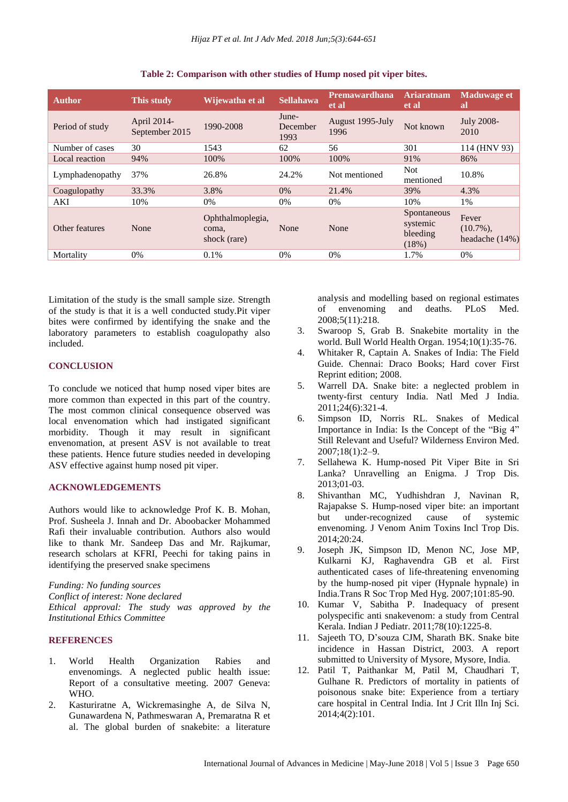| <b>Author</b>   | This study                    | Wijewatha et al                           | <b>Sellahawa</b>          | <b>Premawardhana</b><br>et al | <b>Ariaratnam</b><br>et al                   | <b>Maduwage et</b><br><b>al</b>         |
|-----------------|-------------------------------|-------------------------------------------|---------------------------|-------------------------------|----------------------------------------------|-----------------------------------------|
| Period of study | April 2014-<br>September 2015 | 1990-2008                                 | June-<br>December<br>1993 | August 1995-July<br>1996      | Not known                                    | July 2008-<br>2010                      |
| Number of cases | 30                            | 1543                                      | 62                        | 56                            | 301                                          | 114 (HNV 93)                            |
| Local reaction  | 94%                           | 100%                                      | 100%                      | 100%                          | 91%                                          | 86%                                     |
| Lymphadenopathy | 37%                           | 26.8%                                     | 24.2%                     | Not mentioned                 | <b>Not</b><br>mentioned                      | 10.8%                                   |
| Coagulopathy    | 33.3%                         | 3.8%                                      | 0%                        | 21.4%                         | 39%                                          | 4.3%                                    |
| AKI             | 10%                           | 0%                                        | 0%                        | 0%                            | 10%                                          | 1%                                      |
| Other features  | None                          | Ophthalmoplegia,<br>coma.<br>shock (rare) | None                      | None                          | Spontaneous<br>systemic<br>bleeding<br>(18%) | Fever<br>$(10.7\%)$ ,<br>headache (14%) |
| Mortality       | $0\%$                         | 0.1%                                      | $0\%$                     | $0\%$                         | 1.7%                                         | $0\%$                                   |

**Table 2: Comparison with other studies of Hump nosed pit viper bites.**

Limitation of the study is the small sample size. Strength of the study is that it is a well conducted study.Pit viper bites were confirmed by identifying the snake and the laboratory parameters to establish coagulopathy also included.

#### **CONCLUSION**

To conclude we noticed that hump nosed viper bites are more common than expected in this part of the country. The most common clinical consequence observed was local envenomation which had instigated significant morbidity. Though it may result in significant envenomation, at present ASV is not available to treat these patients. Hence future studies needed in developing ASV effective against hump nosed pit viper.

# **ACKNOWLEDGEMENTS**

Authors would like to acknowledge Prof K. B. Mohan, Prof. Susheela J. Innah and Dr. Aboobacker Mohammed Rafi their invaluable contribution. Authors also would like to thank Mr. Sandeep Das and Mr. Rajkumar, research scholars at KFRI, Peechi for taking pains in identifying the preserved snake specimens

*Funding: No funding sources Conflict of interest: None declared Ethical approval: The study was approved by the Institutional Ethics Committee*

#### **REFERENCES**

- 1. World Health Organization Rabies and envenomings. A neglected public health issue: Report of a consultative meeting. 2007 Geneva: WHO.
- 2. Kasturiratne A, Wickremasinghe A, de Silva N, Gunawardena N, Pathmeswaran A, Premaratna R et al. The global burden of snakebite: a literature

analysis and modelling based on regional estimates of envenoming and deaths. PLoS Med. 2008;5(11):218.

- 3. Swaroop S, Grab B. Snakebite mortality in the world. Bull World Health Organ. 1954;10(1):35-76.
- 4. Whitaker R, Captain A. Snakes of India: The Field Guide. Chennai: Draco Books; Hard cover First Reprint edition; 2008.
- 5. Warrell DA. Snake bite: a neglected problem in twenty-first century India. Natl Med J India. 2011;24(6):321-4.
- 6. Simpson ID, Norris RL. Snakes of Medical Importance in India: Is the Concept of the "Big 4" Still Relevant and Useful? Wilderness Environ Med. 2007;18(1):2–9.
- 7. Sellahewa K. Hump-nosed Pit Viper Bite in Sri Lanka? Unravelling an Enigma. J Trop Dis. 2013;01-03.
- 8. Shivanthan MC, Yudhishdran J, Navinan R, Rajapakse S. Hump-nosed viper bite: an important but under-recognized cause of systemic envenoming. J Venom Anim Toxins Incl Trop Dis. 2014;20:24.
- 9. Joseph JK, Simpson ID, Menon NC, Jose MP, Kulkarni KJ, Raghavendra GB et al. First authenticated cases of life-threatening envenoming by the hump-nosed pit viper (Hypnale hypnale) in India.Trans R Soc Trop Med Hyg. 2007;101:85-90.
- 10. Kumar V, Sabitha P. Inadequacy of present polyspecific anti snakevenom: a study from Central Kerala. Indian J Pediatr. 2011;78(10):1225-8.
- 11. Sajeeth TO, D'souza CJM, Sharath BK. Snake bite incidence in Hassan District, 2003. A report submitted to University of Mysore, Mysore, India.
- 12. Patil T, Paithankar M, Patil M, Chaudhari T, Gulhane R. Predictors of mortality in patients of poisonous snake bite: Experience from a tertiary care hospital in Central India. Int J Crit Illn Inj Sci. 2014;4(2):101.